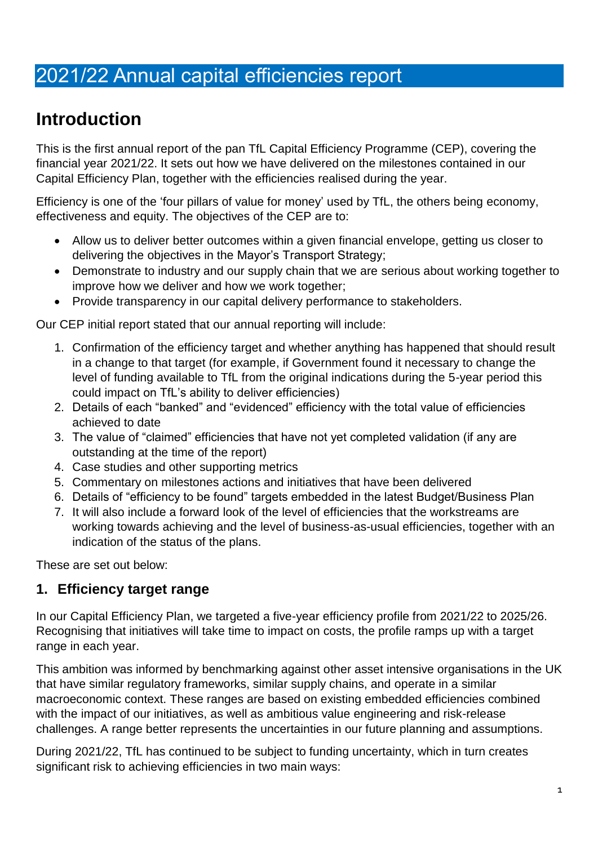# 2021/22 Annual capital efficiencies report

# **Introduction**

This is the first annual report of the pan TfL Capital Efficiency Programme (CEP), covering the financial year 2021/22. It sets out how we have delivered on the milestones contained in our Capital Efficiency Plan, together with the efficiencies realised during the year.

Efficiency is one of the 'four pillars of value for money' used by TfL, the others being economy, effectiveness and equity. The objectives of the CEP are to:

- Allow us to deliver better outcomes within a given financial envelope, getting us closer to delivering the objectives in the Mayor's Transport Strategy;
- Demonstrate to industry and our supply chain that we are serious about working together to improve how we deliver and how we work together;
- Provide transparency in our capital delivery performance to stakeholders.

Our CEP initial report stated that our annual reporting will include:

- 1. Confirmation of the efficiency target and whether anything has happened that should result in a change to that target (for example, if Government found it necessary to change the level of funding available to TfL from the original indications during the 5-year period this could impact on TfL's ability to deliver efficiencies)
- 2. Details of each "banked" and "evidenced" efficiency with the total value of efficiencies achieved to date
- 3. The value of "claimed" efficiencies that have not yet completed validation (if any are outstanding at the time of the report)
- 4. Case studies and other supporting metrics
- 5. Commentary on milestones actions and initiatives that have been delivered
- 6. Details of "efficiency to be found" targets embedded in the latest Budget/Business Plan
- 7. It will also include a forward look of the level of efficiencies that the workstreams are working towards achieving and the level of business-as-usual efficiencies, together with an indication of the status of the plans.

These are set out below:

### **1. Efficiency target range**

In our Capital Efficiency Plan, we targeted a five-year efficiency profile from 2021/22 to 2025/26. Recognising that initiatives will take time to impact on costs, the profile ramps up with a target range in each year.

This ambition was informed by benchmarking against other asset intensive organisations in the UK that have similar regulatory frameworks, similar supply chains, and operate in a similar macroeconomic context. These ranges are based on existing embedded efficiencies combined with the impact of our initiatives, as well as ambitious value engineering and risk-release challenges. A range better represents the uncertainties in our future planning and assumptions.

During 2021/22, TfL has continued to be subject to funding uncertainty, which in turn creates significant risk to achieving efficiencies in two main ways: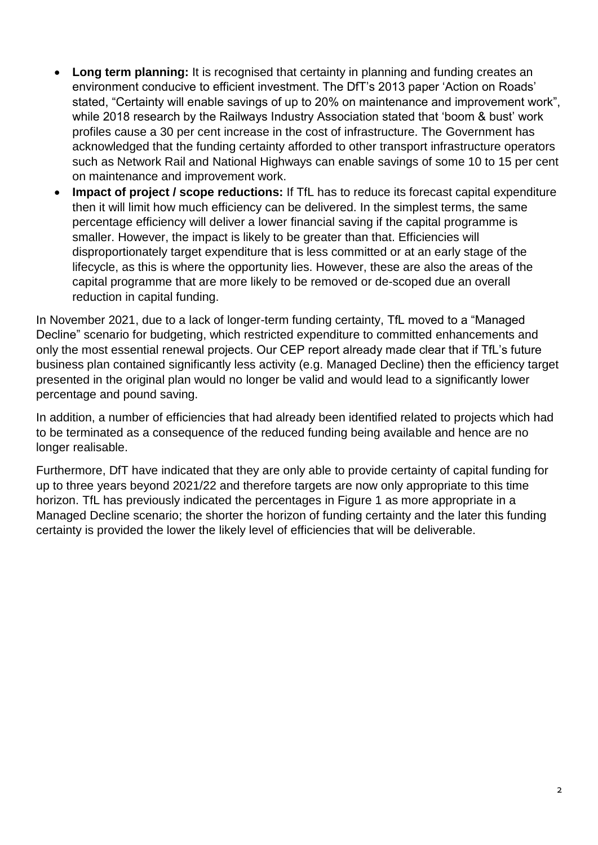- **Long term planning:** It is recognised that certainty in planning and funding creates an environment conducive to efficient investment. The DfT's 2013 paper 'Action on Roads' stated, "Certainty will enable savings of up to 20% on maintenance and improvement work", while 2018 research by the Railways Industry Association stated that 'boom & bust' work profiles cause a 30 per cent increase in the cost of infrastructure. The Government has acknowledged that the funding certainty afforded to other transport infrastructure operators such as Network Rail and National Highways can enable savings of some 10 to 15 per cent on maintenance and improvement work.
- **Impact of project / scope reductions:** If TfL has to reduce its forecast capital expenditure then it will limit how much efficiency can be delivered. In the simplest terms, the same percentage efficiency will deliver a lower financial saving if the capital programme is smaller. However, the impact is likely to be greater than that. Efficiencies will disproportionately target expenditure that is less committed or at an early stage of the lifecycle, as this is where the opportunity lies. However, these are also the areas of the capital programme that are more likely to be removed or de-scoped due an overall reduction in capital funding.

In November 2021, due to a lack of longer-term funding certainty, TfL moved to a "Managed Decline" scenario for budgeting, which restricted expenditure to committed enhancements and only the most essential renewal projects. Our CEP report already made clear that if TfL's future business plan contained significantly less activity (e.g. Managed Decline) then the efficiency target presented in the original plan would no longer be valid and would lead to a significantly lower percentage and pound saving.

In addition, a number of efficiencies that had already been identified related to projects which had to be terminated as a consequence of the reduced funding being available and hence are no longer realisable.

Furthermore, DfT have indicated that they are only able to provide certainty of capital funding for up to three years beyond 2021/22 and therefore targets are now only appropriate to this time horizon. TfL has previously indicated the percentages in Figure 1 as more appropriate in a Managed Decline scenario; the shorter the horizon of funding certainty and the later this funding certainty is provided the lower the likely level of efficiencies that will be deliverable.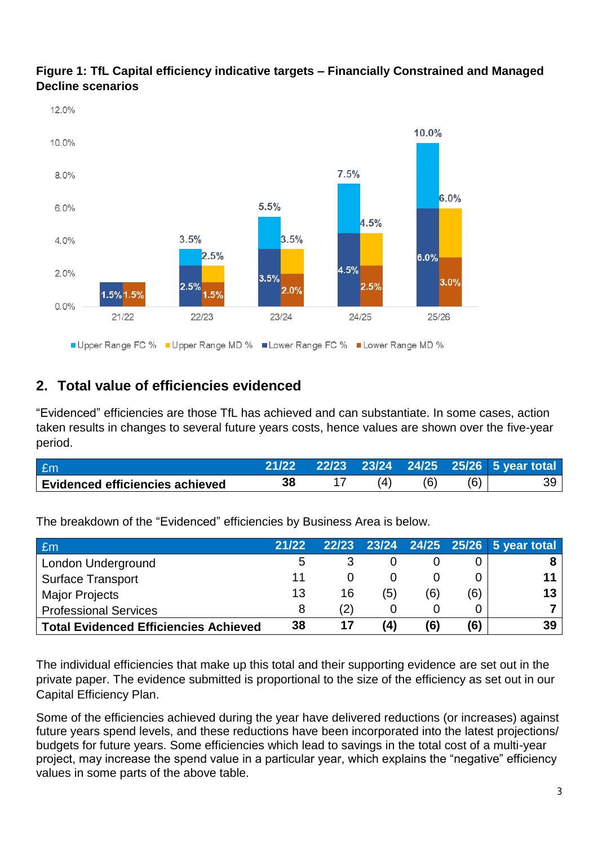

### **Figure 1: TfL Capital efficiency indicative targets – Financially Constrained and Managed Decline scenarios**

# **2. Total value of efficiencies evidenced**

"Evidenced" efficiencies are those TfL has achieved and can substantiate. In some cases, action taken results in changes to several future years costs, hence values are shown over the five-year period.

| £m                                     |  |     |     | 22/23 23/24 24/25 25/26 5 year total |
|----------------------------------------|--|-----|-----|--------------------------------------|
| <b>Evidenced efficiencies achieved</b> |  | (6) | (6) |                                      |

The breakdown of the "Evidenced" efficiencies by Business Area is below.

| Em                                           | 21/22 |     |           |     |     | 22/23 23/24 24/25 25/26 5 year total |
|----------------------------------------------|-------|-----|-----------|-----|-----|--------------------------------------|
| London Underground                           | b     |     |           |     |     |                                      |
| <b>Surface Transport</b>                     |       |     |           |     |     |                                      |
| <b>Major Projects</b>                        | 13    | 16  | (5)       | (6) | (6) | 13                                   |
| <b>Professional Services</b>                 |       | (2) |           |     |     |                                      |
| <b>Total Evidenced Efficiencies Achieved</b> | 38    | 17  | $\bf (4)$ | (6) | (6) | 39                                   |

The individual efficiencies that make up this total and their supporting evidence are set out in the private paper. The evidence submitted is proportional to the size of the efficiency as set out in our Capital Efficiency Plan.

Some of the efficiencies achieved during the year have delivered reductions (or increases) against future years spend levels, and these reductions have been incorporated into the latest projections/ budgets for future years. Some efficiencies which lead to savings in the total cost of a multi-year project, may increase the spend value in a particular year, which explains the "negative" efficiency values in some parts of the above table.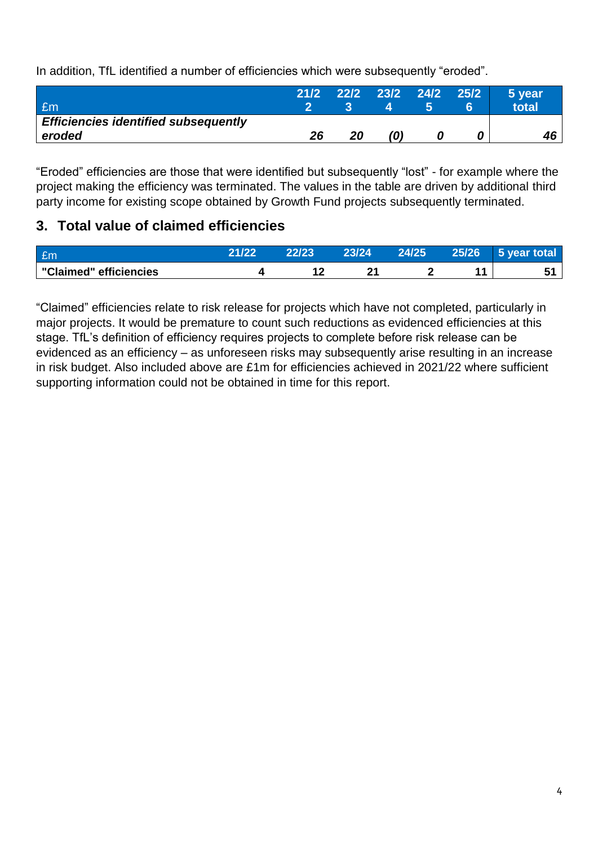In addition, TfL identified a number of efficiencies which were subsequently "eroded".

| £m                                                    | 21/2 |    | 22/2 23/2 24/2 25/2 |  | 5 year<br><b>total</b> |
|-------------------------------------------------------|------|----|---------------------|--|------------------------|
| <b>Efficiencies identified subsequently</b><br>eroded | 26   | 20 |                     |  |                        |

"Eroded" efficiencies are those that were identified but subsequently "lost" - for example where the project making the efficiency was terminated. The values in the table are driven by additional third party income for existing scope obtained by Growth Fund projects subsequently terminated.

# **3. Total value of claimed efficiencies**

| Em                     | 24 199 | 23/24 | 24/25 | 25/26 | year total<br>ו כי י |
|------------------------|--------|-------|-------|-------|----------------------|
| "Claimed" efficiencies |        |       |       |       |                      |

"Claimed" efficiencies relate to risk release for projects which have not completed, particularly in major projects. It would be premature to count such reductions as evidenced efficiencies at this stage. TfL's definition of efficiency requires projects to complete before risk release can be evidenced as an efficiency – as unforeseen risks may subsequently arise resulting in an increase in risk budget. Also included above are £1m for efficiencies achieved in 2021/22 where sufficient supporting information could not be obtained in time for this report.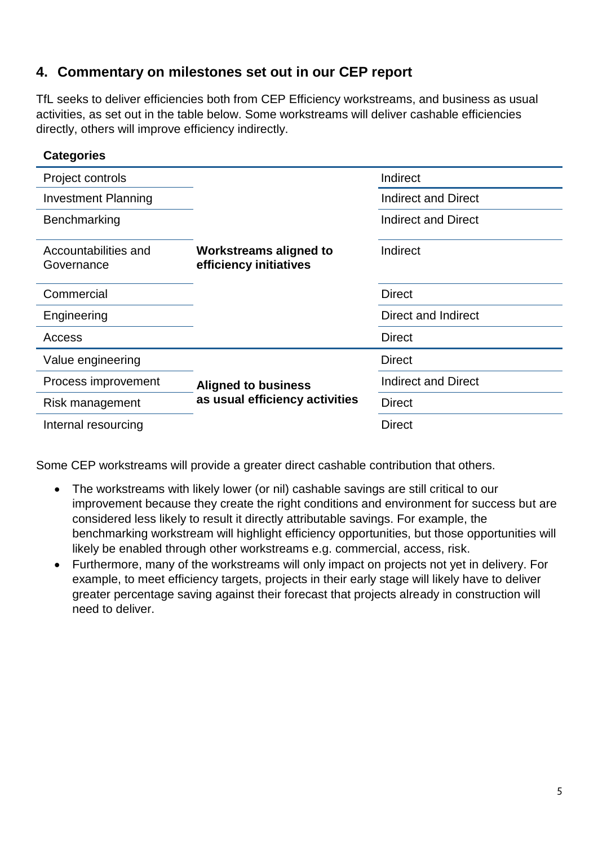## **4. Commentary on milestones set out in our CEP report**

TfL seeks to deliver efficiencies both from CEP Efficiency workstreams, and business as usual activities, as set out in the table below. Some workstreams will deliver cashable efficiencies directly, others will improve efficiency indirectly.

| <b>Categories</b>                  |                                                         |                            |  |
|------------------------------------|---------------------------------------------------------|----------------------------|--|
| Project controls                   |                                                         | Indirect                   |  |
| <b>Investment Planning</b>         |                                                         | Indirect and Direct        |  |
| Benchmarking                       |                                                         | Indirect and Direct        |  |
| Accountabilities and<br>Governance | <b>Workstreams aligned to</b><br>efficiency initiatives | Indirect                   |  |
| Commercial                         |                                                         | <b>Direct</b>              |  |
| Engineering                        |                                                         | Direct and Indirect        |  |
| Access                             |                                                         | <b>Direct</b>              |  |
| Value engineering                  |                                                         | <b>Direct</b>              |  |
| Process improvement                | <b>Aligned to business</b>                              | <b>Indirect and Direct</b> |  |
| Risk management                    | as usual efficiency activities                          | <b>Direct</b>              |  |
| Internal resourcing                |                                                         | <b>Direct</b>              |  |

Some CEP workstreams will provide a greater direct cashable contribution that others.

- The workstreams with likely lower (or nil) cashable savings are still critical to our improvement because they create the right conditions and environment for success but are considered less likely to result it directly attributable savings. For example, the benchmarking workstream will highlight efficiency opportunities, but those opportunities will likely be enabled through other workstreams e.g. commercial, access, risk.
- Furthermore, many of the workstreams will only impact on projects not yet in delivery. For example, to meet efficiency targets, projects in their early stage will likely have to deliver greater percentage saving against their forecast that projects already in construction will need to deliver.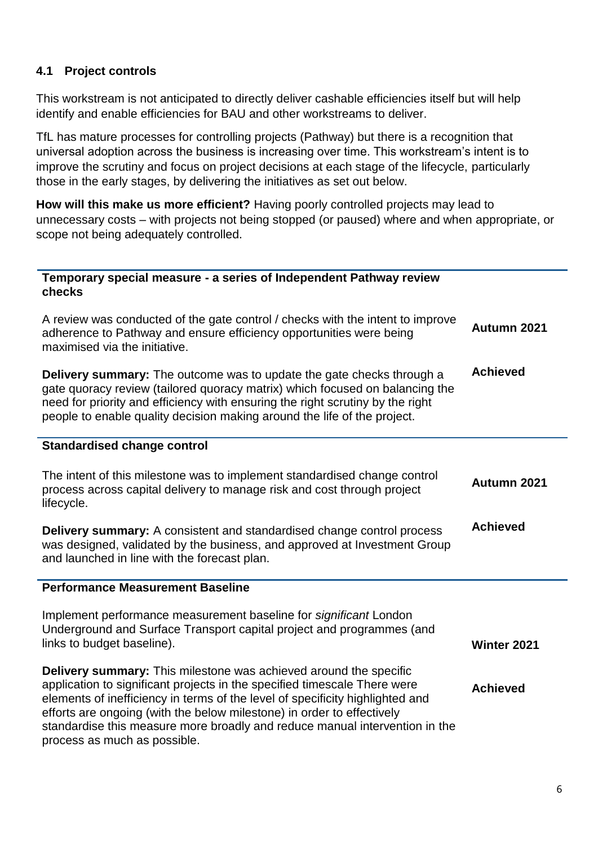#### **4.1 Project controls**

This workstream is not anticipated to directly deliver cashable efficiencies itself but will help identify and enable efficiencies for BAU and other workstreams to deliver.

TfL has mature processes for controlling projects (Pathway) but there is a recognition that universal adoption across the business is increasing over time. This workstream's intent is to improve the scrutiny and focus on project decisions at each stage of the lifecycle, particularly those in the early stages, by delivering the initiatives as set out below.

**How will this make us more efficient?** Having poorly controlled projects may lead to unnecessary costs – with projects not being stopped (or paused) where and when appropriate, or scope not being adequately controlled.

| Temporary special measure - a series of Independent Pathway review<br>checks                                                                                                                                                                                                                                                                                                                                             |                    |
|--------------------------------------------------------------------------------------------------------------------------------------------------------------------------------------------------------------------------------------------------------------------------------------------------------------------------------------------------------------------------------------------------------------------------|--------------------|
| A review was conducted of the gate control / checks with the intent to improve<br>adherence to Pathway and ensure efficiency opportunities were being<br>maximised via the initiative.                                                                                                                                                                                                                                   | Autumn 2021        |
| <b>Delivery summary:</b> The outcome was to update the gate checks through a<br>gate quoracy review (tailored quoracy matrix) which focused on balancing the<br>need for priority and efficiency with ensuring the right scrutiny by the right<br>people to enable quality decision making around the life of the project.                                                                                               | <b>Achieved</b>    |
| <b>Standardised change control</b>                                                                                                                                                                                                                                                                                                                                                                                       |                    |
| The intent of this milestone was to implement standardised change control<br>process across capital delivery to manage risk and cost through project<br>lifecycle.                                                                                                                                                                                                                                                       | Autumn 2021        |
| Delivery summary: A consistent and standardised change control process<br>was designed, validated by the business, and approved at Investment Group<br>and launched in line with the forecast plan.                                                                                                                                                                                                                      | <b>Achieved</b>    |
| <b>Performance Measurement Baseline</b>                                                                                                                                                                                                                                                                                                                                                                                  |                    |
| Implement performance measurement baseline for significant London<br>Underground and Surface Transport capital project and programmes (and<br>links to budget baseline).                                                                                                                                                                                                                                                 | <b>Winter 2021</b> |
|                                                                                                                                                                                                                                                                                                                                                                                                                          |                    |
| Delivery summary: This milestone was achieved around the specific<br>application to significant projects in the specified timescale There were<br>elements of inefficiency in terms of the level of specificity highlighted and<br>efforts are ongoing (with the below milestone) in order to effectively<br>standardise this measure more broadly and reduce manual intervention in the<br>process as much as possible. | <b>Achieved</b>    |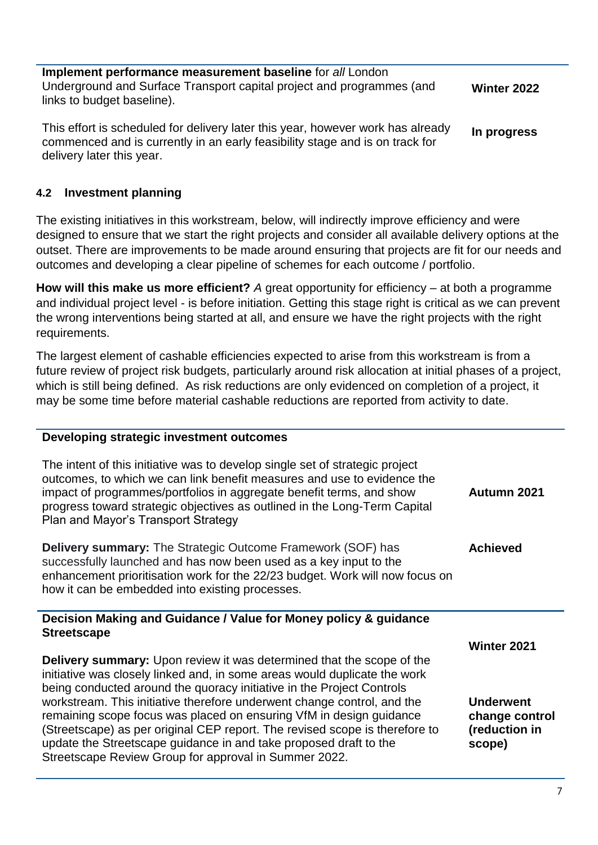| Implement performance measurement baseline for all London             |                    |
|-----------------------------------------------------------------------|--------------------|
| Underground and Surface Transport capital project and programmes (and | <b>Winter 2022</b> |
| links to budget baseline).                                            |                    |

This effort is scheduled for delivery later this year, however work has already commenced and is currently in an early feasibility stage and is on track for delivery later this year. **In progress**

#### **4.2 Investment planning**

The existing initiatives in this workstream, below, will indirectly improve efficiency and were designed to ensure that we start the right projects and consider all available delivery options at the outset. There are improvements to be made around ensuring that projects are fit for our needs and outcomes and developing a clear pipeline of schemes for each outcome / portfolio.

**How will this make us more efficient?** *A* great opportunity for efficiency – at both a programme and individual project level - is before initiation. Getting this stage right is critical as we can prevent the wrong interventions being started at all, and ensure we have the right projects with the right requirements.

The largest element of cashable efficiencies expected to arise from this workstream is from a future review of project risk budgets, particularly around risk allocation at initial phases of a project, which is still being defined. As risk reductions are only evidenced on completion of a project, it may be some time before material cashable reductions are reported from activity to date.

#### **Developing strategic investment outcomes**

| The intent of this initiative was to develop single set of strategic project<br>outcomes, to which we can link benefit measures and use to evidence the<br>impact of programmes/portfolios in aggregate benefit terms, and show<br>progress toward strategic objectives as outlined in the Long-Term Capital<br>Plan and Mayor's Transport Strategy | Autumn 2021        |
|-----------------------------------------------------------------------------------------------------------------------------------------------------------------------------------------------------------------------------------------------------------------------------------------------------------------------------------------------------|--------------------|
| <b>Delivery summary:</b> The Strategic Outcome Framework (SOF) has<br>successfully launched and has now been used as a key input to the<br>enhancement prioritisation work for the 22/23 budget. Work will now focus on<br>how it can be embedded into existing processes.                                                                          | <b>Achieved</b>    |
| Decision Making and Guidance / Value for Money policy & guidance                                                                                                                                                                                                                                                                                    |                    |
|                                                                                                                                                                                                                                                                                                                                                     |                    |
| <b>Streetscape</b>                                                                                                                                                                                                                                                                                                                                  | <b>Winter 2021</b> |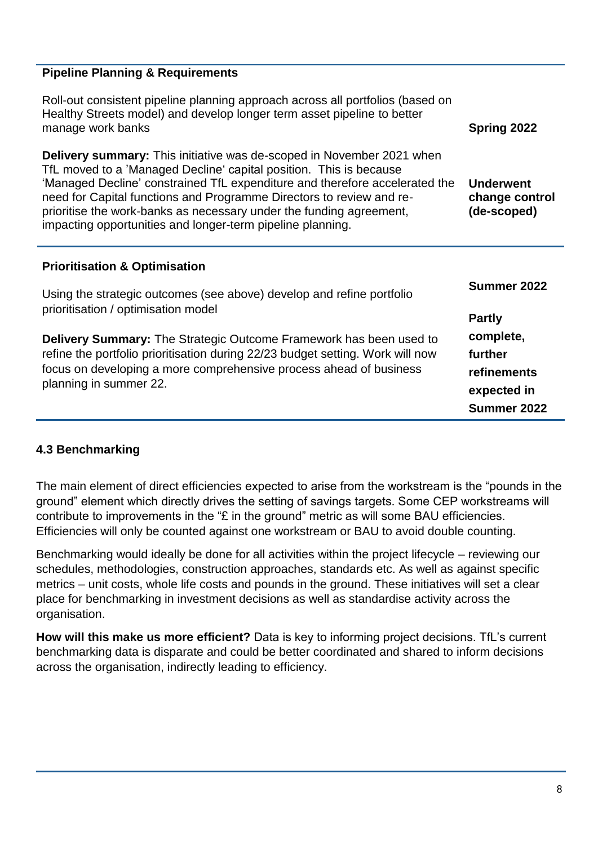### **Pipeline Planning & Requirements**

| Roll-out consistent pipeline planning approach across all portfolios (based on<br>Healthy Streets model) and develop longer term asset pipeline to better<br>manage work banks                                                                                                                                                                                                                                                                 | Spring 2022                                       |
|------------------------------------------------------------------------------------------------------------------------------------------------------------------------------------------------------------------------------------------------------------------------------------------------------------------------------------------------------------------------------------------------------------------------------------------------|---------------------------------------------------|
| <b>Delivery summary:</b> This initiative was de-scoped in November 2021 when<br>TfL moved to a 'Managed Decline' capital position. This is because<br>'Managed Decline' constrained TfL expenditure and therefore accelerated the<br>need for Capital functions and Programme Directors to review and re-<br>prioritise the work-banks as necessary under the funding agreement,<br>impacting opportunities and longer-term pipeline planning. | <b>Underwent</b><br>change control<br>(de-scoped) |
| <b>Prioritisation &amp; Optimisation</b>                                                                                                                                                                                                                                                                                                                                                                                                       |                                                   |
| Using the strategic outcomes (see above) develop and refine portfolio                                                                                                                                                                                                                                                                                                                                                                          | Summer 2022                                       |
| prioritisation / optimisation model                                                                                                                                                                                                                                                                                                                                                                                                            | <b>Partly</b>                                     |
| <b>Delivery Summary:</b> The Strategic Outcome Framework has been used to                                                                                                                                                                                                                                                                                                                                                                      | complete,                                         |
| refine the portfolio prioritisation during 22/23 budget setting. Work will now<br>focus on developing a more comprehensive process ahead of business                                                                                                                                                                                                                                                                                           | further<br>refinements                            |
| planning in summer 22.                                                                                                                                                                                                                                                                                                                                                                                                                         | expected in                                       |
|                                                                                                                                                                                                                                                                                                                                                                                                                                                | Summer 2022                                       |

#### **4.3 Benchmarking**

The main element of direct efficiencies expected to arise from the workstream is the "pounds in the ground" element which directly drives the setting of savings targets. Some CEP workstreams will contribute to improvements in the "£ in the ground" metric as will some BAU efficiencies. Efficiencies will only be counted against one workstream or BAU to avoid double counting.

Benchmarking would ideally be done for all activities within the project lifecycle – reviewing our schedules, methodologies, construction approaches, standards etc. As well as against specific metrics – unit costs, whole life costs and pounds in the ground. These initiatives will set a clear place for benchmarking in investment decisions as well as standardise activity across the organisation.

**How will this make us more efficient?** Data is key to informing project decisions. TfL's current benchmarking data is disparate and could be better coordinated and shared to inform decisions across the organisation, indirectly leading to efficiency.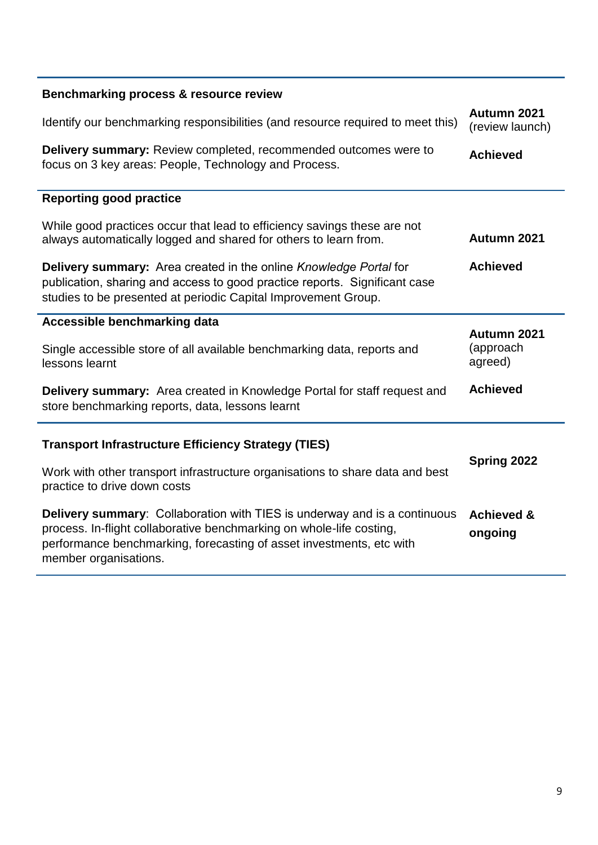| Benchmarking process & resource review                                                                                                                                                                                           |                                  |
|----------------------------------------------------------------------------------------------------------------------------------------------------------------------------------------------------------------------------------|----------------------------------|
| Identify our benchmarking responsibilities (and resource required to meet this)                                                                                                                                                  | Autumn 2021<br>(review launch)   |
| <b>Delivery summary:</b> Review completed, recommended outcomes were to<br>focus on 3 key areas: People, Technology and Process.                                                                                                 | <b>Achieved</b>                  |
| <b>Reporting good practice</b>                                                                                                                                                                                                   |                                  |
| While good practices occur that lead to efficiency savings these are not<br>always automatically logged and shared for others to learn from.                                                                                     | Autumn 2021                      |
| <b>Delivery summary:</b> Area created in the online <i>Knowledge Portal</i> for<br>publication, sharing and access to good practice reports. Significant case<br>studies to be presented at periodic Capital Improvement Group.  | <b>Achieved</b>                  |
| Accessible benchmarking data                                                                                                                                                                                                     | Autumn 2021                      |
| Single accessible store of all available benchmarking data, reports and<br>lessons learnt                                                                                                                                        | (approach<br>agreed)             |
| <b>Delivery summary:</b> Area created in Knowledge Portal for staff request and<br>store benchmarking reports, data, lessons learnt                                                                                              | <b>Achieved</b>                  |
| <b>Transport Infrastructure Efficiency Strategy (TIES)</b>                                                                                                                                                                       |                                  |
| Work with other transport infrastructure organisations to share data and best<br>practice to drive down costs                                                                                                                    | Spring 2022                      |
| <b>Delivery summary:</b> Collaboration with TIES is underway and is a continuous<br>process. In-flight collaborative benchmarking on whole-life costing,<br>performance benchmarking, forecasting of asset investments, etc with | <b>Achieved &amp;</b><br>ongoing |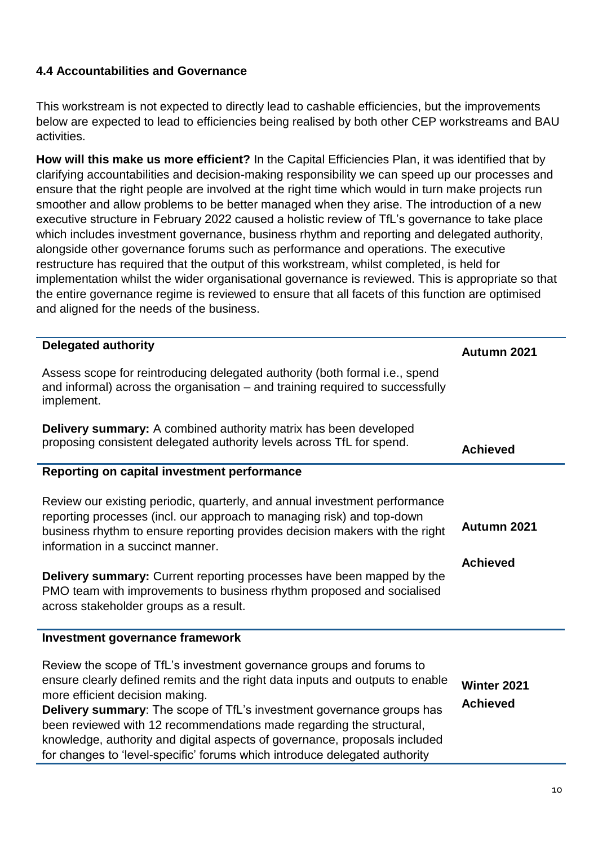### **4.4 Accountabilities and Governance**

This workstream is not expected to directly lead to cashable efficiencies, but the improvements below are expected to lead to efficiencies being realised by both other CEP workstreams and BAU activities.

**How will this make us more efficient?** In the Capital Efficiencies Plan, it was identified that by clarifying accountabilities and decision-making responsibility we can speed up our processes and ensure that the right people are involved at the right time which would in turn make projects run smoother and allow problems to be better managed when they arise. The introduction of a new executive structure in February 2022 caused a holistic review of TfL's governance to take place which includes investment governance, business rhythm and reporting and delegated authority, alongside other governance forums such as performance and operations. The executive restructure has required that the output of this workstream, whilst completed, is held for implementation whilst the wider organisational governance is reviewed. This is appropriate so that the entire governance regime is reviewed to ensure that all facets of this function are optimised and aligned for the needs of the business.

| <b>Delegated authority</b>                                                                                                                                                                                                                                                                                                                                                                                                                                                                            | Autumn 2021                    |
|-------------------------------------------------------------------------------------------------------------------------------------------------------------------------------------------------------------------------------------------------------------------------------------------------------------------------------------------------------------------------------------------------------------------------------------------------------------------------------------------------------|--------------------------------|
| Assess scope for reintroducing delegated authority (both formal i.e., spend<br>and informal) across the organisation – and training required to successfully<br>implement.                                                                                                                                                                                                                                                                                                                            |                                |
| Delivery summary: A combined authority matrix has been developed<br>proposing consistent delegated authority levels across TfL for spend.                                                                                                                                                                                                                                                                                                                                                             | <b>Achieved</b>                |
| Reporting on capital investment performance                                                                                                                                                                                                                                                                                                                                                                                                                                                           |                                |
| Review our existing periodic, quarterly, and annual investment performance<br>reporting processes (incl. our approach to managing risk) and top-down<br>business rhythm to ensure reporting provides decision makers with the right<br>information in a succinct manner.<br><b>Delivery summary:</b> Current reporting processes have been mapped by the                                                                                                                                              | Autumn 2021<br><b>Achieved</b> |
| PMO team with improvements to business rhythm proposed and socialised<br>across stakeholder groups as a result.                                                                                                                                                                                                                                                                                                                                                                                       |                                |
| Investment governance framework                                                                                                                                                                                                                                                                                                                                                                                                                                                                       |                                |
| Review the scope of TfL's investment governance groups and forums to<br>ensure clearly defined remits and the right data inputs and outputs to enable<br>more efficient decision making.<br>Delivery summary: The scope of TfL's investment governance groups has<br>been reviewed with 12 recommendations made regarding the structural,<br>knowledge, authority and digital aspects of governance, proposals included<br>for changes to 'level-specific' forums which introduce delegated authority | Winter 2021<br><b>Achieved</b> |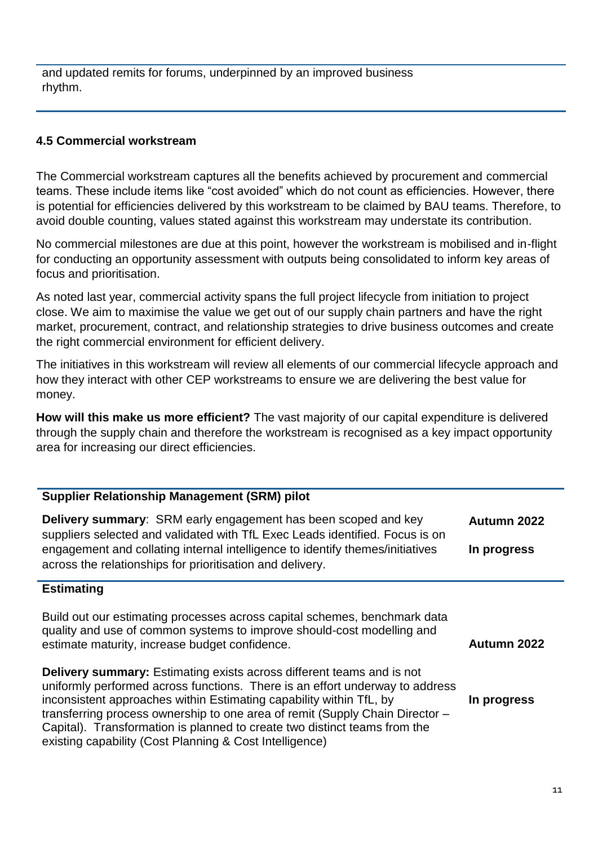and updated remits for forums, underpinned by an improved business rhythm.

#### **4.5 Commercial workstream**

The Commercial workstream captures all the benefits achieved by procurement and commercial teams. These include items like "cost avoided" which do not count as efficiencies. However, there is potential for efficiencies delivered by this workstream to be claimed by BAU teams. Therefore, to avoid double counting, values stated against this workstream may understate its contribution.

No commercial milestones are due at this point, however the workstream is mobilised and in-flight for conducting an opportunity assessment with outputs being consolidated to inform key areas of focus and prioritisation.

As noted last year, commercial activity spans the full project lifecycle from initiation to project close. We aim to maximise the value we get out of our supply chain partners and have the right market, procurement, contract, and relationship strategies to drive business outcomes and create the right commercial environment for efficient delivery.

The initiatives in this workstream will review all elements of our commercial lifecycle approach and how they interact with other CEP workstreams to ensure we are delivering the best value for money.

**How will this make us more efficient?** The vast majority of our capital expenditure is delivered through the supply chain and therefore the workstream is recognised as a key impact opportunity area for increasing our direct efficiencies.

#### **Supplier Relationship Management (SRM) pilot**

**Delivery summary**: SRM early engagement has been scoped and key suppliers selected and validated with TfL Exec Leads identified. Focus is on engagement and collating internal intelligence to identify themes/initiatives across the relationships for prioritisation and delivery. **Autumn 2022 In progress**

#### **Estimating**

Build out our estimating processes across capital schemes, benchmark data quality and use of common systems to improve should-cost modelling and estimate maturity, increase budget confidence.

**Delivery summary:** Estimating exists across different teams and is not uniformly performed across functions. There is an effort underway to address inconsistent approaches within Estimating capability within TfL, by transferring process ownership to one area of remit (Supply Chain Director – Capital). Transformation is planned to create two distinct teams from the existing capability (Cost Planning & Cost Intelligence) **In progress**

**Autumn 2022**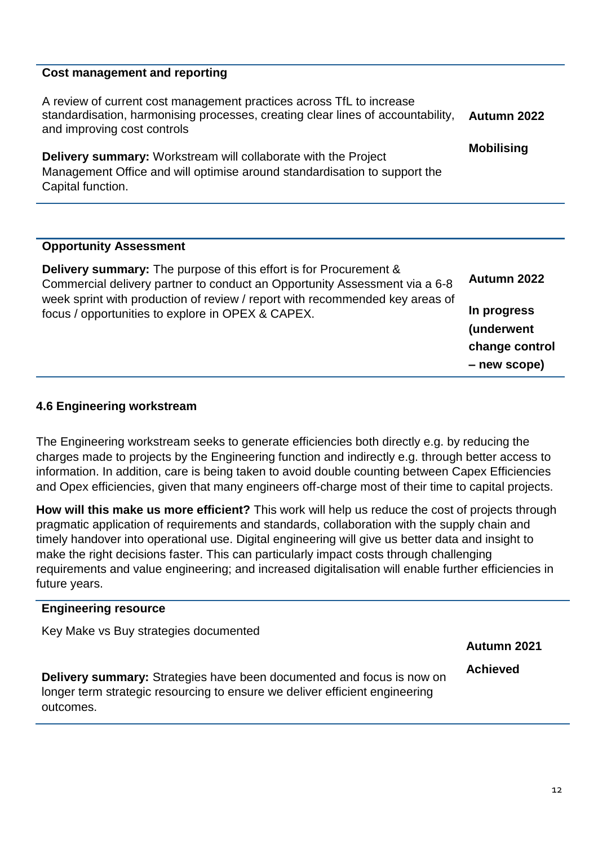#### **Cost management and reporting**

| A review of current cost management practices across TfL to increase<br>standardisation, harmonising processes, creating clear lines of accountability,<br>and improving cost controls | Autumn 2022       |
|----------------------------------------------------------------------------------------------------------------------------------------------------------------------------------------|-------------------|
| <b>Delivery summary:</b> Workstream will collaborate with the Project<br>Management Office and will optimise around standardisation to support the<br>Capital function.                | <b>Mobilising</b> |

#### **Opportunity Assessment**

| <b>Delivery summary:</b> The purpose of this effort is for Procurement &<br>Commercial delivery partner to conduct an Opportunity Assessment via a 6-8<br>week sprint with production of review / report with recommended key areas of<br>focus / opportunities to explore in OPEX & CAPEX. | Autumn 2022                                 |
|---------------------------------------------------------------------------------------------------------------------------------------------------------------------------------------------------------------------------------------------------------------------------------------------|---------------------------------------------|
|                                                                                                                                                                                                                                                                                             | In progress<br>(underwent<br>change control |
|                                                                                                                                                                                                                                                                                             | - new scope)                                |

#### **4.6 Engineering workstream**

The Engineering workstream seeks to generate efficiencies both directly e.g. by reducing the charges made to projects by the Engineering function and indirectly e.g. through better access to information. In addition, care is being taken to avoid double counting between Capex Efficiencies and Opex efficiencies, given that many engineers off-charge most of their time to capital projects.

**How will this make us more efficient?** This work will help us reduce the cost of projects through pragmatic application of requirements and standards, collaboration with the supply chain and timely handover into operational use. Digital engineering will give us better data and insight to make the right decisions faster. This can particularly impact costs through challenging requirements and value engineering; and increased digitalisation will enable further efficiencies in future years.

#### **Engineering resource**

Key Make vs Buy strategies documented

**Autumn 2021**

**Delivery summary:** Strategies have been documented and focus is now on longer term strategic resourcing to ensure we deliver efficient engineering outcomes.

**Achieved**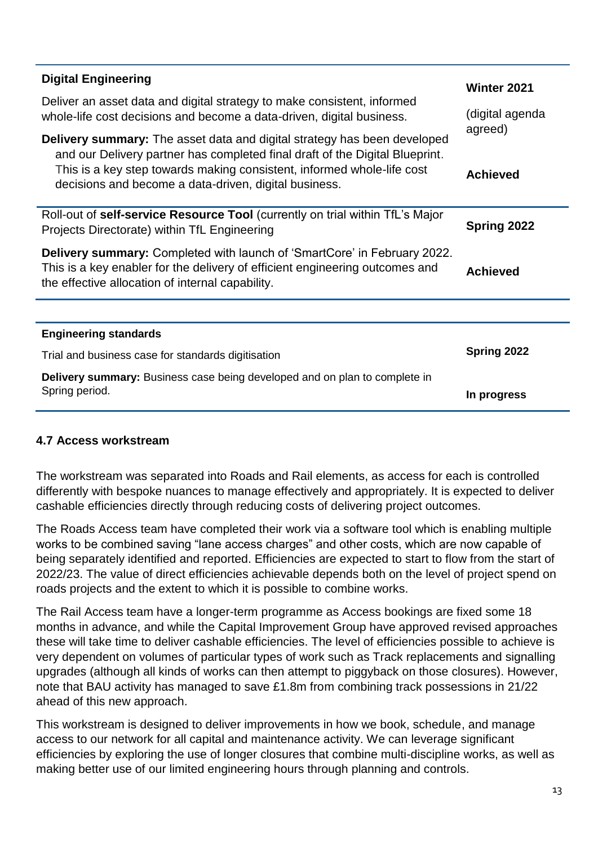| <b>Digital Engineering</b>                                                                                                                                                                                          | <b>Winter 2021</b>                            |
|---------------------------------------------------------------------------------------------------------------------------------------------------------------------------------------------------------------------|-----------------------------------------------|
| Deliver an asset data and digital strategy to make consistent, informed<br>whole-life cost decisions and become a data-driven, digital business.                                                                    | (digital agenda<br>agreed)<br><b>Achieved</b> |
| <b>Delivery summary:</b> The asset data and digital strategy has been developed                                                                                                                                     |                                               |
| and our Delivery partner has completed final draft of the Digital Blueprint.<br>This is a key step towards making consistent, informed whole-life cost<br>decisions and become a data-driven, digital business.     |                                               |
| Roll-out of self-service Resource Tool (currently on trial within TfL's Major<br>Projects Directorate) within TfL Engineering                                                                                       | Spring 2022                                   |
| <b>Delivery summary:</b> Completed with launch of 'SmartCore' in February 2022.<br>This is a key enabler for the delivery of efficient engineering outcomes and<br>the effective allocation of internal capability. | <b>Achieved</b>                               |
|                                                                                                                                                                                                                     |                                               |
| <b>Engineering standards</b>                                                                                                                                                                                        |                                               |
| Trial and business case for standards digitisation                                                                                                                                                                  | Spring 2022                                   |
| Delivery summary: Business case being developed and on plan to complete in<br>Spring period.                                                                                                                        | In progress                                   |

#### **4.7 Access workstream**

The workstream was separated into Roads and Rail elements, as access for each is controlled differently with bespoke nuances to manage effectively and appropriately. It is expected to deliver cashable efficiencies directly through reducing costs of delivering project outcomes.

The Roads Access team have completed their work via a software tool which is enabling multiple works to be combined saving "lane access charges" and other costs, which are now capable of being separately identified and reported. Efficiencies are expected to start to flow from the start of 2022/23. The value of direct efficiencies achievable depends both on the level of project spend on roads projects and the extent to which it is possible to combine works.

The Rail Access team have a longer-term programme as Access bookings are fixed some 18 months in advance, and while the Capital Improvement Group have approved revised approaches these will take time to deliver cashable efficiencies. The level of efficiencies possible to achieve is very dependent on volumes of particular types of work such as Track replacements and signalling upgrades (although all kinds of works can then attempt to piggyback on those closures). However, note that BAU activity has managed to save £1.8m from combining track possessions in 21/22 ahead of this new approach.

This workstream is designed to deliver improvements in how we book, schedule, and manage access to our network for all capital and maintenance activity. We can leverage significant efficiencies by exploring the use of longer closures that combine multi-discipline works, as well as making better use of our limited engineering hours through planning and controls.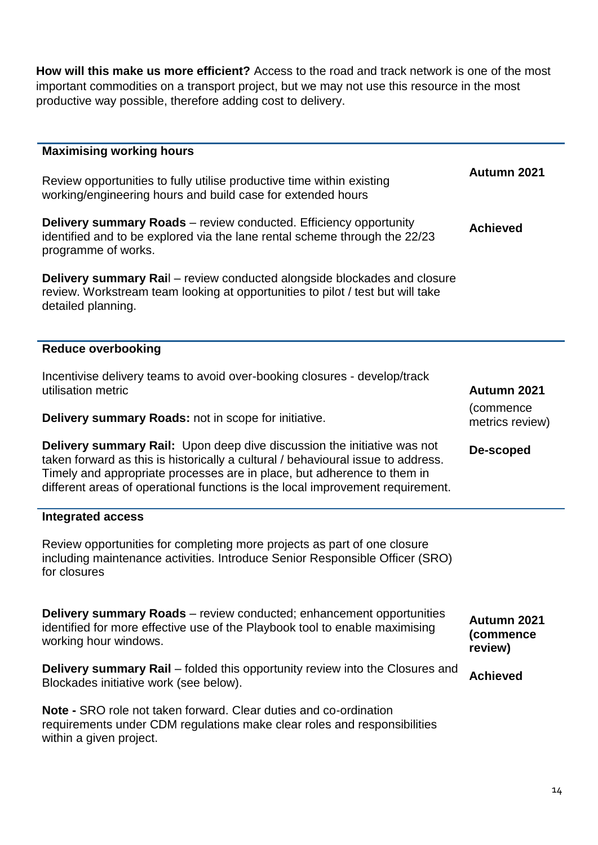**How will this make us more efficient?** Access to the road and track network is one of the most important commodities on a transport project, but we may not use this resource in the most productive way possible, therefore adding cost to delivery.

| <b>Maximising working hours</b>                                                                                                                                                                                                                                                                                                 |                                     |
|---------------------------------------------------------------------------------------------------------------------------------------------------------------------------------------------------------------------------------------------------------------------------------------------------------------------------------|-------------------------------------|
| Review opportunities to fully utilise productive time within existing<br>working/engineering hours and build case for extended hours                                                                                                                                                                                            | Autumn 2021                         |
| <b>Delivery summary Roads</b> – review conducted. Efficiency opportunity<br>identified and to be explored via the lane rental scheme through the 22/23<br>programme of works.                                                                                                                                                   | <b>Achieved</b>                     |
| <b>Delivery summary Rail</b> – review conducted alongside blockades and closure<br>review. Workstream team looking at opportunities to pilot / test but will take<br>detailed planning.                                                                                                                                         |                                     |
| <b>Reduce overbooking</b>                                                                                                                                                                                                                                                                                                       |                                     |
| Incentivise delivery teams to avoid over-booking closures - develop/track<br>utilisation metric                                                                                                                                                                                                                                 | Autumn 2021                         |
| Delivery summary Roads: not in scope for initiative.                                                                                                                                                                                                                                                                            | (commence<br>metrics review)        |
| <b>Delivery summary Rail:</b> Upon deep dive discussion the initiative was not<br>taken forward as this is historically a cultural / behavioural issue to address.<br>Timely and appropriate processes are in place, but adherence to them in<br>different areas of operational functions is the local improvement requirement. | De-scoped                           |
| <b>Integrated access</b>                                                                                                                                                                                                                                                                                                        |                                     |
| Review opportunities for completing more projects as part of one closure<br>including maintenance activities. Introduce Senior Responsible Officer (SRO)<br>for closures                                                                                                                                                        |                                     |
| <b>Delivery summary Roads</b> – review conducted; enhancement opportunities<br>identified for more effective use of the Playbook tool to enable maximising<br>working hour windows.                                                                                                                                             | Autumn 2021<br>(commence<br>review) |
| <b>Delivery summary Rail</b> – folded this opportunity review into the Closures and<br>Blockades initiative work (see below).                                                                                                                                                                                                   | <b>Achieved</b>                     |
| <b>Note - SRO role not taken forward. Clear duties and co-ordination</b><br>requirements under CDM regulations make clear roles and responsibilities<br>within a given project.                                                                                                                                                 |                                     |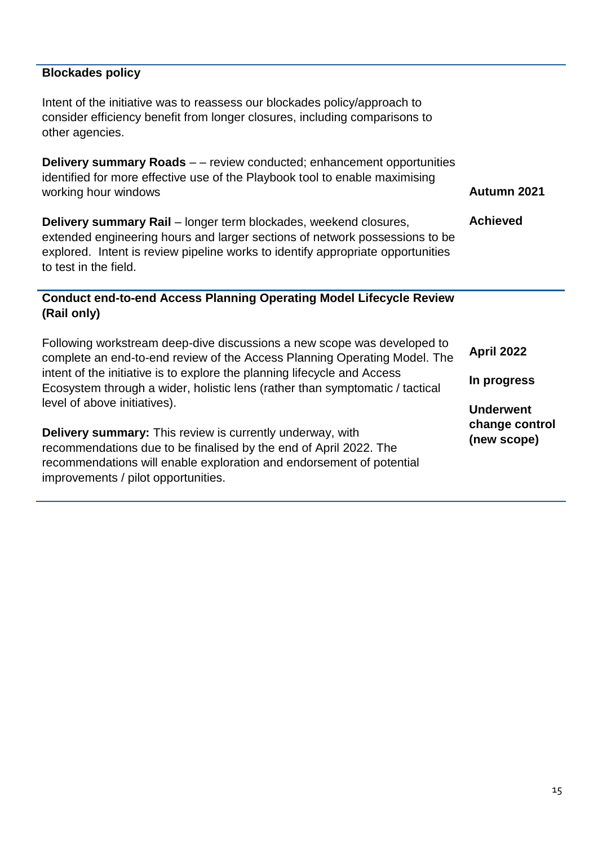#### **Blockades policy**

Intent of the initiative was to reassess our blockades policy/approach to consider efficiency benefit from longer closures, including comparisons to other agencies.

**Delivery summary Roads** – – review conducted; enhancement opportunities identified for more effective use of the Playbook tool to enable maximising working hour windows

**Delivery summary Rail** – longer term blockades, weekend closures, extended engineering hours and larger sections of network possessions to be explored. Intent is review pipeline works to identify appropriate opportunities to test in the field. **Achieved**

#### **Conduct end-to-end Access Planning Operating Model Lifecycle Review (Rail only)**

| Following workstream deep-dive discussions a new scope was developed to<br>complete an end-to-end review of the Access Planning Operating Model. The<br>intent of the initiative is to explore the planning lifecycle and Access<br>Ecosystem through a wider, holistic lens (rather than symptomatic / tactical<br>level of above initiatives).<br><b>Delivery summary:</b> This review is currently underway, with<br>recommendations due to be finalised by the end of April 2022. The<br>recommendations will enable exploration and endorsement of potential | <b>April 2022</b>                                 |
|-------------------------------------------------------------------------------------------------------------------------------------------------------------------------------------------------------------------------------------------------------------------------------------------------------------------------------------------------------------------------------------------------------------------------------------------------------------------------------------------------------------------------------------------------------------------|---------------------------------------------------|
|                                                                                                                                                                                                                                                                                                                                                                                                                                                                                                                                                                   | In progress                                       |
|                                                                                                                                                                                                                                                                                                                                                                                                                                                                                                                                                                   | <b>Underwent</b><br>change control<br>(new scope) |
| improvements / pilot opportunities.                                                                                                                                                                                                                                                                                                                                                                                                                                                                                                                               |                                                   |

**Autumn 2021**